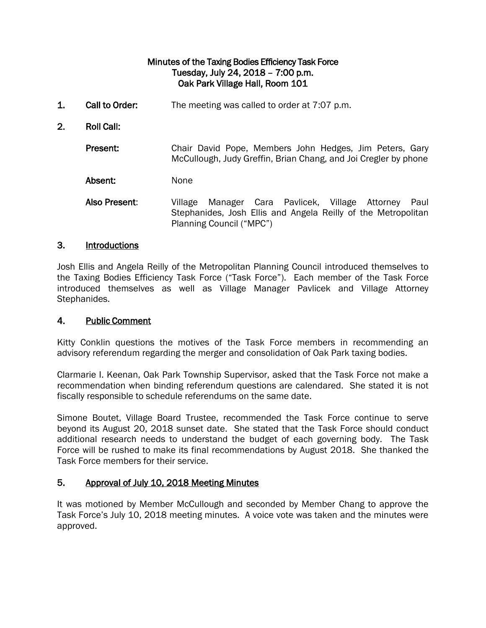# Minutes of the Taxing Bodies Efficiency Task Force Tuesday, July 24, 2018 – 7:00 p.m. Oak Park Village Hall, Room 101

- 1. Call to Order: The meeting was called to order at 7:07 p.m.
- 2. Roll Call:

Present: Chair David Pope, Members John Hedges, Jim Peters, Gary McCullough, Judy Greffin, Brian Chang, and Joi Cregler by phone

Absent: None

Also Present: Village Manager Cara Pavlicek, Village Attorney Paul Stephanides, Josh Ellis and Angela Reilly of the Metropolitan Planning Council ("MPC")

#### 3. Introductions

Josh Ellis and Angela Reilly of the Metropolitan Planning Council introduced themselves to the Taxing Bodies Efficiency Task Force ("Task Force"). Each member of the Task Force introduced themselves as well as Village Manager Pavlicek and Village Attorney Stephanides.

#### 4. Public Comment

Kitty Conklin questions the motives of the Task Force members in recommending an advisory referendum regarding the merger and consolidation of Oak Park taxing bodies.

Clarmarie I. Keenan, Oak Park Township Supervisor, asked that the Task Force not make a recommendation when binding referendum questions are calendared. She stated it is not fiscally responsible to schedule referendums on the same date.

Simone Boutet, Village Board Trustee, recommended the Task Force continue to serve beyond its August 20, 2018 sunset date. She stated that the Task Force should conduct additional research needs to understand the budget of each governing body. The Task Force will be rushed to make its final recommendations by August 2018. She thanked the Task Force members for their service.

## 5. Approval of July 10, 2018 Meeting Minutes

It was motioned by Member McCullough and seconded by Member Chang to approve the Task Force's July 10, 2018 meeting minutes. A voice vote was taken and the minutes were approved.